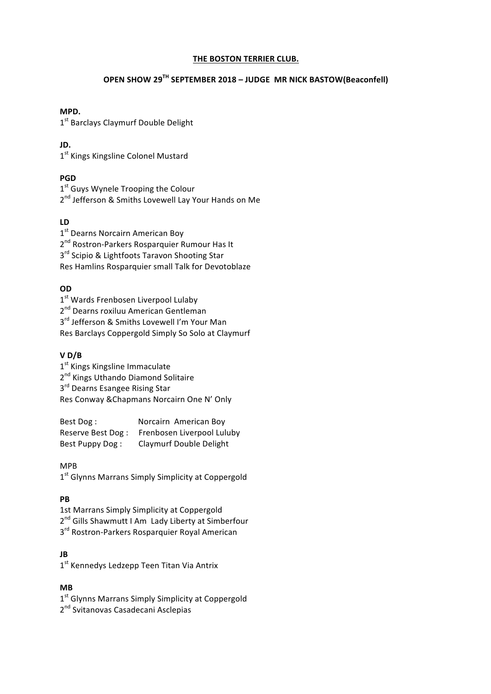#### **THE BOSTON TERRIER CLUB.**

# **OPEN SHOW 29TH SEPTEMBER 2018 – JUDGE MR NICK BASTOW(Beaconfell)**

#### **MPD.**

1<sup>st</sup> Barclays Claymurf Double Delight

# **JD.**

1<sup>st</sup> Kings Kingsline Colonel Mustard

# **PGD**

1<sup>st</sup> Guys Wynele Trooping the Colour 2<sup>nd</sup> Jefferson & Smiths Lovewell Lay Your Hands on Me

# **LD**

1<sup>st</sup> Dearns Norcairn American Boy 2<sup>nd</sup> Rostron-Parkers Rosparquier Rumour Has It 3<sup>rd</sup> Scipio & Lightfoots Taravon Shooting Star Res Hamlins Rosparquier small Talk for Devotoblaze

# **OD**

1<sup>st</sup> Wards Frenbosen Liverpool Lulaby 2<sup>nd</sup> Dearns roxiluu American Gentleman  $3<sup>rd</sup>$  Jefferson & Smiths Lovewell I'm Your Man Res Barclays Coppergold Simply So Solo at Claymurf

## **V D/B**

1<sup>st</sup> Kings Kingsline Immaculate 2<sup>nd</sup> Kings Uthando Diamond Solitaire 3<sup>rd</sup> Dearns Esangee Rising Star Res Conway & Chapmans Norcairn One N' Only

Best Dog: Norcairn American Boy Reserve Best Dog: Frenbosen Liverpool Luluby Best Puppy Dog: Claymurf Double Delight

## MPB

1<sup>st</sup> Glynns Marrans Simply Simplicity at Coppergold

## **PB**

1st Marrans Simply Simplicity at Coppergold 2<sup>nd</sup> Gills Shawmutt I Am Lady Liberty at Simberfour 3<sup>rd</sup> Rostron-Parkers Rosparquier Royal American

## **JB**

1<sup>st</sup> Kennedys Ledzepp Teen Titan Via Antrix

## **MB**

 $1<sup>st</sup>$  Glynns Marrans Simply Simplicity at Coppergold 2<sup>nd</sup> Svitanovas Casadecani Asclepias